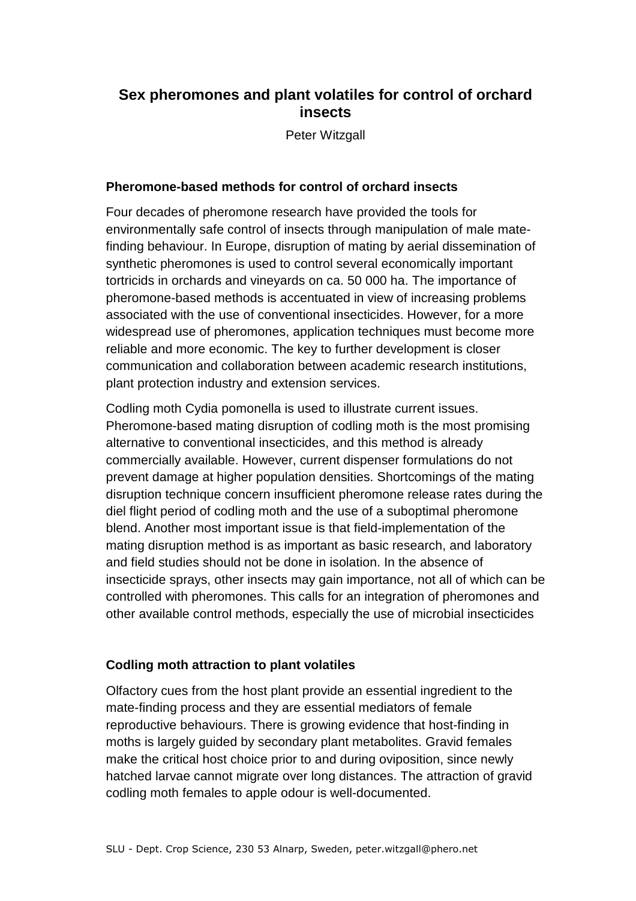## **Sex pheromones and plant volatiles for control of orchard insects**

Peter Witzgall

## **Pheromone-based methods for control of orchard insects**

Four decades of pheromone research have provided the tools for environmentally safe control of insects through manipulation of male matefinding behaviour. In Europe, disruption of mating by aerial dissemination of synthetic pheromones is used to control several economically important tortricids in orchards and vineyards on ca. 50 000 ha. The importance of pheromone-based methods is accentuated in view of increasing problems associated with the use of conventional insecticides. However, for a more widespread use of pheromones, application techniques must become more reliable and more economic. The key to further development is closer communication and collaboration between academic research institutions, plant protection industry and extension services.

Codling moth Cydia pomonella is used to illustrate current issues. Pheromone-based mating disruption of codling moth is the most promising alternative to conventional insecticides, and this method is already commercially available. However, current dispenser formulations do not prevent damage at higher population densities. Shortcomings of the mating disruption technique concern insufficient pheromone release rates during the diel flight period of codling moth and the use of a suboptimal pheromone blend. Another most important issue is that field-implementation of the mating disruption method is as important as basic research, and laboratory and field studies should not be done in isolation. In the absence of insecticide sprays, other insects may gain importance, not all of which can be controlled with pheromones. This calls for an integration of pheromones and other available control methods, especially the use of microbial insecticides

## **Codling moth attraction to plant volatiles**

Olfactory cues from the host plant provide an essential ingredient to the mate-finding process and they are essential mediators of female reproductive behaviours. There is growing evidence that host-finding in moths is largely guided by secondary plant metabolites. Gravid females make the critical host choice prior to and during oviposition, since newly hatched larvae cannot migrate over long distances. The attraction of gravid codling moth females to apple odour is well-documented.